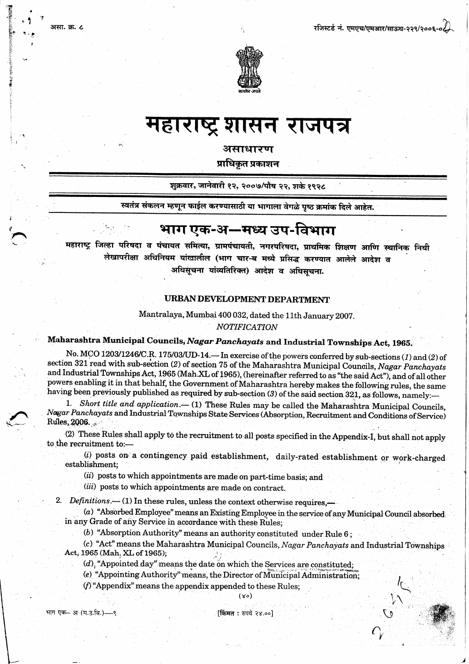

# महाराष्ट्र शासन राजपत्र

असाधारण

प्राधिकृत प्रकाशन

शुक्रवार, जानेवारी १२, २००७/पौष २२, शके १९२८

स्वतंत्र संकलन म्हणून फाईल करण्यासाठी या भागाला वेगळे पृष्ठ क्रमांक दिले आहेत.

## भाग एक-अ—मध्य उप-विभाग

महाराष्ट्र जिल्हा परिषदा व पंचायत समित्या, ग्रामपंचायती, नगरपरिषदा, प्राथमिक शिक्षण आणि स्थानिक निधी लेखापरीक्षा अधिनियम यांखालील (भाग चार-ब मध्ये प्रसिद्ध करण्यात आलेले आदेश व अधिसूचना यांव्यतिरिक्त) आदेश व अधिसचना.

### **URBAN DEVELOPMENT DEPARTMENT**

Mantralaya, Mumbai 400 032, dated the 11th January 2007. **NOTIFICATION** 

### Maharashtra Municipal Councils, Nagar Panchayats and Industrial Townships Act, 1965.

No. MCO 1203/1246/C.R. 175/03/UD-14. In exercise of the powers conferred by sub-sections (1) and (2) of section 321 read with sub-section (2) of section 75 of the Maharashtra Municipal Councils, Nagar Panchayats and Industrial Townships Act, 1965 (Mah.XL of 1965), (hereinafter referred to as "the said Act"), and of all other powers enabling it in that behalf, the Government of Maharashtra hereby makes the following rules, the same having been previously published as required by sub-section (3) of the said section 321, as follows, namely:-

1. Short title and application.- (1) These Rules may be called the Maharashtra Municipal Councils, Nagar Panchayats and Industrial Townships State Services (Absorption, Recruitment and Conditions of Service) Rules, 2006.

(2) These Rules shall apply to the recruitment to all posts specified in the Appendix-I, but shall not apply to the recruitment to:-

(i) posts on a contingency paid establishment, daily-rated establishment or work-charged establishment;

(ii) posts to which appointments are made on part-time basis; and

(iii) posts to which appointments are made on contract.

2. Definitions.—(1) In these rules, unless the context otherwise requires,—

(a) "Absorbed Employee" means an Existing Employee in the service of any Municipal Council absorbed in any Grade of any Service in accordance with these Rules;

(b) "Absorption Authority" means an authority constituted under Rule  $6$ ;

(c) "Act" means the Maharashtra Municipal Councils, Nagar Panchayats and Industrial Townships Act, 1965 (Mah. XL of 1965);

 $(d)$ , "Appointed day" means the date on which the Services are constituted;

(e) "Appointing Authority" means, the Director of Municipal Administration;

 $(f)$  "Appendix" means the appendix appended to these Rules;

भाग एक- अ (म.उ.वि.)-९

असा. क्र. ८

[किंमत : रुपये २४.००]

 $(xo)$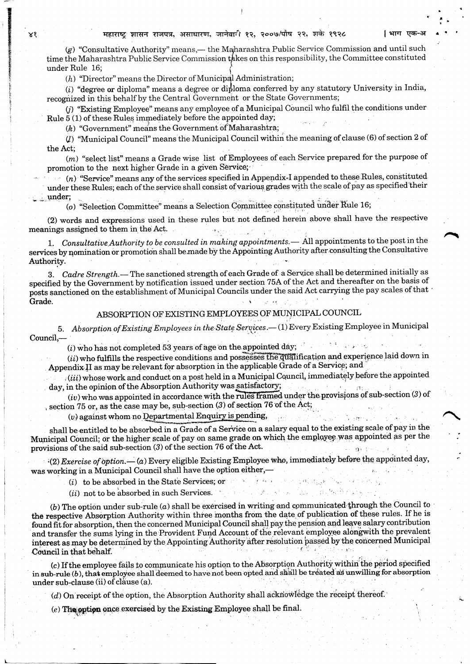(g) "Consultative Authority" means,- the Maharashtra Public Service Commission and until such time the Maharashtra Public Service Commission takes on this responsibility, the Committee constituted under Rule 16:

 $(h)$  "Director" means the Director of Municipal Administration;

(i) "degree or diploma" means a degree or diploma conferred by any statutory University in India, recognized in this behalf by the Central Government or the State Governments:

(i) "Existing Employee" means any employee of a Municipal Council who fulfil the conditions under Rule  $5(1)$  of these Rules immediately before the appointed day;

(k) "Government" means the Government of Maharashtra;

 $(l)$  "Municipal Council" means the Municipal Council within the meaning of clause (6) of section 2 of the Act;

 $(m)$  "select list" means a Grade wise list of Employees of each Service prepared for the purpose of promotion to the next higher Grade in a given Service;

 $(n)$  "Service" means any of the services specified in Appendix-I appended to these Rules, constituted under these Rules; each of the service shall consist of various grades with the scale of pay as specified their under:

(o) "Selection Committee" means a Selection Committee constituted under Rule 16;

(2) words and expressions used in these rules but not defined herein above shall have the respective meanings assigned to them in the Act.

1. Consultative Authority to be consulted in making appointments. - All appointments to the post in the services by nomination or promotion shall be made by the Appointing Authority after consulting the Consultative Authority.

3. Cadre Strength. - The sanctioned strength of each Grade of a Service shall be determined initially as specified by the Government by notification issued under section 75A of the Act and thereafter on the basis of posts sanctioned on the establishment of Municipal Councils under the said Act carrying the pay scales of that Grade.

### ABSORPTION OF EXISTING EMPLOYEES OF MUNICIPAL COUNCIL

5. Absorption of Existing Employees in the State Services.- (1) Every Existing Employee in Municipal Council,-

 $(i)$  who has not completed 53 years of age on the appointed day;

 $(ii)$  who fulfills the respective conditions and possesses the qualification and experience laid down in Appendix II as may be relevant for absorption in the applicable Grade of a Service; and

 $(iii)$  whose work and conduct on a post held in a Municipal Council, immediately before the appointed day, in the opinion of the Absorption Authority was satisfactory;

 $(iv)$  who was appointed in accordance with the rules framed under the provisions of sub-section (3) of section 75 or, as the case may be, sub-section (3) of section 76 of the Act;

 $(v)$  against whom no Departmental Enquiry is pending,

shall be entitled to be absorbed in a Grade of a Service on a salary equal to the existing scale of pay in the Municipal Council; or the higher scale of pay on same grade on which the employee was appointed as per the provisions of the said sub-section  $(3)$  of the section 76 of the Act.

 $(2)$  Exercise of option. - (a) Every eligible Existing Employee who, immediately before the appointed day, was working in a Municipal Council shall have the option either,-

والمحافظ والمراجع والمستنب

 $(i)$  to be absorbed in the State Services; or

 $(ii)$  not to be absorbed in such Services.

(b) The option under sub-rule  $(a)$  shall be exercised in writing and communicated through the Council to the respective Absorption Authority within three months from the date of publication of these rules. If he is found fit for absorption, then the concerned Municipal Council shall pay the pension and leave salary contribution and transfer the sums lying in the Provident Fund Account of the relevant employee alongwith the prevalent interest as may be determined by the Appointing Authority after resolution passed by the concerned Municipal Council in that behalf.

(c) If the employee fails to communicate his option to the Absorption Authority within the period specified in sub-rule  $(b)$ , that employee shall deemed to have not been opted and shall be treated as unwilling for absorption under sub-clause (ii) of clause (a).

(d) On receipt of the option, the Absorption Authority shall acknowledge the receipt thereof.

 $(e)$  The option once exercised by the Existing Employee shall be final.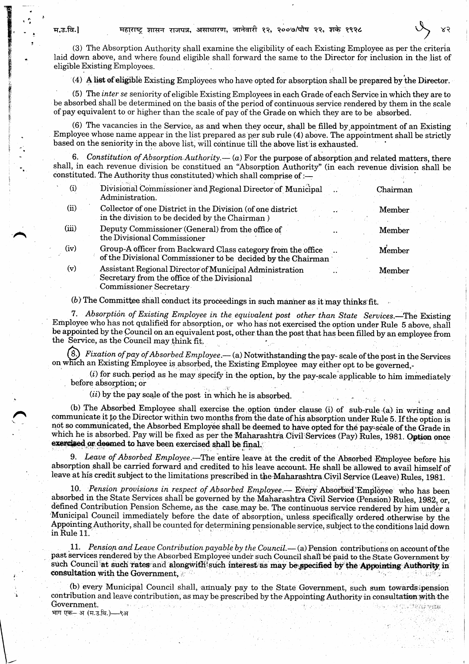(3) The Absorption Authority shall examine the eligibility of each Existing Employee as per the criteria laid down above, and where found eligible shall forward the same to the Director for inclusion in the list of eligible Existing Employees.

(4) A list of eligible Existing Employees who have opted for absorption shall be prepared by the Director.

(5) The inter se seniority of eligible Existing Employees in each Grade of each Service in which they are to be absorbed shall be determined on the basis of the period of continuous service rendered by them in the scale of pay equivalent to or higher than the scale of pay of the Grade on which they are to be absorbed.

(6) The vacancies in the Service, as and when they occur, shall be filled by appointment of an Existing Employee whose name appear in the list prepared as per sub rule (4) above. The appointment shall be strictly based on the seniority in the above list, will continue till the above list is exhausted.

Constitution of Absorption Authority — (a) For the purpose of absorption and related matters, there shall, in each revenue division be constitued an "Absorption Authority" (in each revenue division shall be constituted. The Authority thus constituted) which shall comprise of :-

| (1)   | Divisional Commissioner and Regional Director of Municipal<br>Administration.                                                    | Chairman |  |
|-------|----------------------------------------------------------------------------------------------------------------------------------|----------|--|
| (ii)  | Collector of one District in the Division (of one district<br>in the division to be decided by the Chairman)                     | Member   |  |
| (iii) | Deputy Commissioner (General) from the office of<br>the Divisional Commissioner                                                  | Member   |  |
| (iv)  | Group-A officer from Backward Class category from the office<br>of the Divisional Commissioner to be decided by the Chairman     | Member   |  |
| (v)   | Assistant Regional Director of Municipal Administration<br>Secretary from the office of the Divisional<br>Commissioner Secretary | Member   |  |

(b) The Committee shall conduct its proceedings in such manner as it may thinks fit.

7. Absorption of Existing Employee in the equivalent post other than State Services.—The Existing Employee who has not qualified for absorption, or who has not exercised the option under Rule 5 above, shall be appointed by the Council on an equivalent post, other than the post that has been filled by an employee from the Service, as the Council may think fit.

(8.) Fixation of pay of Absorbed Employee.—(a) Notwithstanding the pay-scale of the post in the Services on which an Existing Employee is absorbed, the Existing Employee may either opt to be governed,-

 $(i)$  for such period as he may specify in the option, by the pay-scale applicable to him immediately before absorption; or

(ii) by the pay scale of the post in which he is absorbed.

(b) The Absorbed Employee shall exercise the option under clause (i) of sub-rule (a) in writing and communicate it to the Director within two months from the date of his absorption under Rule 5. If the option is not so communicated, the Absorbed Employee shall be deemed to have opted for the pay-scale of the Grade in which he is absorbed. Pay will be fixed as per the Maharashtra Civil Services (Pay) Rules, 1981. Option once exercised or deemed to have been exercised shall be final.

9. Leave of Absorbed Employee.—The entire leave at the credit of the Absorbed Employee before his absorption shall be carried forward and credited to his leave account. He shall be allowed to avail himself of leave at his credit subject to the limitations prescribed in the Maharashtra Civil Service (Leave) Rules, 1981.

10. Pension provisions in respect of Absorbed Employee. Every Absorbed Employee who has been absorbed in the State Services shall be governed by the Maharashtra Civil Service (Pension) Rules, 1982, or, defined Contribution Pension Scheme, as the case may be. The continuous service rendered by him under a Municipal Council immediately before the date of absorption, unless specifically ordered otherwise by the Appointing Authority, shall be counted for determining pensionable service, subject to the conditions laid down in Rule 11.

11. Pension and Leave Contribution payable by the Council. $-$  (a) Pension contributions on account of the past services rendered by the Absorbed Employee under such Council shall be paid to the State Government by such Council at such rates and alongwith such interest as may be specified by the Appointing Authority in consultation with the Government,

(b) every Municipal Council shall, annualy pay to the State Government, such sum towards pension contribution and leave contribution, as may be prescribed by the Appointing Authority in consultation with the Government. भाग एक— अ (म.उ.वि.)—